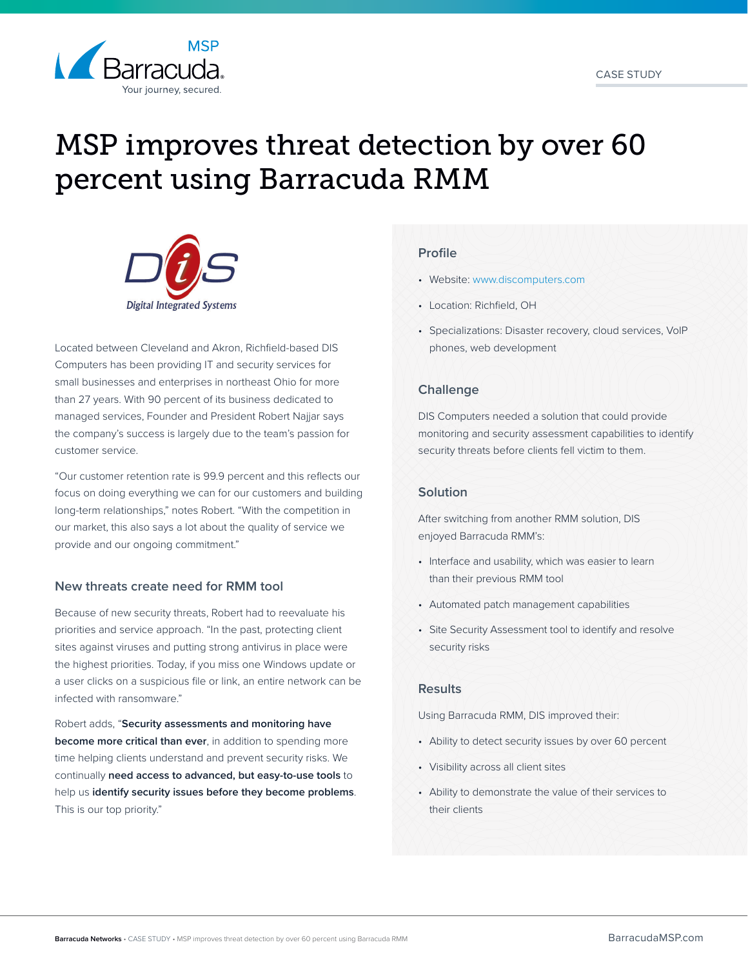

# MSP improves threat detection by over 60 percent using Barracuda RMM



Located between Cleveland and Akron, Richfield-based DIS Computers has been providing IT and security services for small businesses and enterprises in northeast Ohio for more than 27 years. With 90 percent of its business dedicated to managed services, Founder and President Robert Najjar says the company's success is largely due to the team's passion for customer service.

"Our customer retention rate is 99.9 percent and this reflects our focus on doing everything we can for our customers and building long-term relationships," notes Robert. "With the competition in our market, this also says a lot about the quality of service we provide and our ongoing commitment."

#### **New threats create need for RMM tool**

Because of new security threats, Robert had to reevaluate his priorities and service approach. "In the past, protecting client sites against viruses and putting strong antivirus in place were the highest priorities. Today, if you miss one Windows update or a user clicks on a suspicious file or link, an entire network can be infected with ransomware."

Robert adds, "**Security assessments and monitoring have become more critical than ever**, in addition to spending more time helping clients understand and prevent security risks. We continually **need access to advanced, but easy-to-use tools** to help us **identify security issues before they become problems**. This is our top priority."

### **Profile**

- Website: [www.discomputers.com](https://discomputers.com/)
- Location: Richfield, OH
- Specializations: Disaster recovery, cloud services, VoIP phones, web development

# **Challenge**

DIS Computers needed a solution that could provide monitoring and security assessment capabilities to identify security threats before clients fell victim to them.

## **Solution**

After switching from another RMM solution, DIS enjoyed Barracuda RMM's:

- Interface and usability, which was easier to learn than their previous RMM tool
- Automated patch management capabilities
- Site Security Assessment tool to identify and resolve security risks

#### **Results**

Using Barracuda RMM, DIS improved their:

- Ability to detect security issues by over 60 percent
- Visibility across all client sites
- Ability to demonstrate the value of their services to their clients